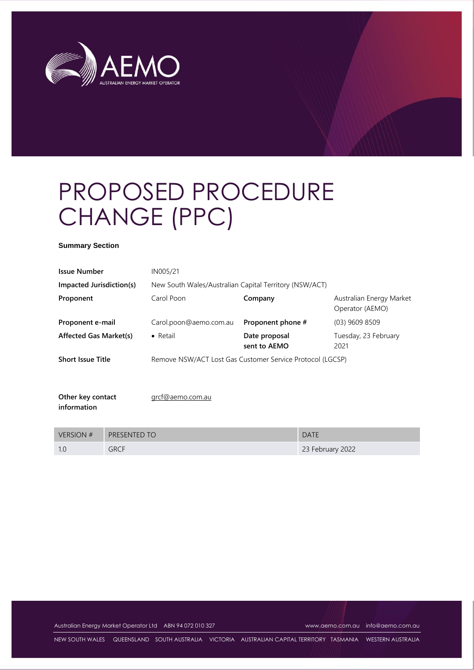

# PROPOSED PROCEDURE CHANGE (PPC)

#### **Summary Section**

| <b>Issue Number</b>              | IN005/21                                                  |                               |                                             |  |
|----------------------------------|-----------------------------------------------------------|-------------------------------|---------------------------------------------|--|
| Impacted Jurisdiction(s)         | New South Wales/Australian Capital Territory (NSW/ACT)    |                               |                                             |  |
| Proponent                        | Carol Poon                                                | Company                       | Australian Energy Market<br>Operator (AEMO) |  |
| Proponent e-mail                 | Carol.poon@aemo.com.au                                    | Proponent phone #             | $(03)$ 9609 8509                            |  |
| <b>Affected Gas Market(s)</b>    | $\bullet$ Retail                                          | Date proposal<br>sent to AEMO | Tuesday, 23 February<br>2021                |  |
| <b>Short Issue Title</b>         | Remove NSW/ACT Lost Gas Customer Service Protocol (LGCSP) |                               |                                             |  |
| Other key contact<br>information | grcf@aemo.com.au                                          |                               |                                             |  |

| <b>VERSION #</b> | <b>PRESENTED TO</b> | <b>DATE</b>      |
|------------------|---------------------|------------------|
|                  | <b>GRCF</b>         | 23 February 2022 |

Australian Energy Market Operator Ltd ABN 94 072 010 327 [www.aemo.com.au](http://www.aemo.com.au/) [info@aemo.com.au](mailto:info@aemo.com.au)

NEW SOUTH WALES QUEENSLAND SOUTH AUSTRALIA VICTORIA AUSTRALIAN CAPITAL TERRITORY TASMANIA WESTERN AUSTRALIA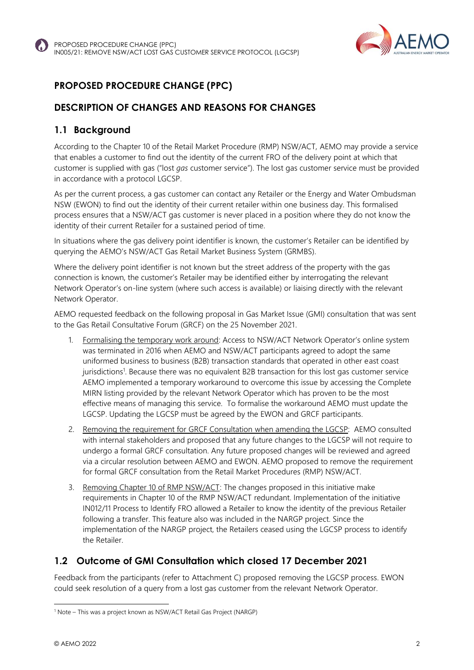

# **PROPOSED PROCEDURE CHANGE (PPC)**

# **DESCRIPTION OF CHANGES AND REASONS FOR CHANGES**

## **1.1 Background**

According to the Chapter 10 of the Retail Market Procedure (RMP) NSW/ACT, AEMO may provide a service that enables a customer to find out the identity of the current FRO of the delivery point at which that customer is supplied with gas ("lost *gas* customer service"). The lost gas customer service must be provided in accordance with a protocol LGCSP.

As per the current process, a gas customer can contact any Retailer or the Energy and Water Ombudsman NSW (EWON) to find out the identity of their current retailer within one business day. This formalised process ensures that a NSW/ACT gas customer is never placed in a position where they do not know the identity of their current Retailer for a sustained period of time.

In situations where the gas delivery point identifier is known, the customer's Retailer can be identified by querying the AEMO's NSW/ACT Gas Retail Market Business System (GRMBS).

Where the delivery point identifier is not known but the street address of the property with the gas connection is known, the customer's Retailer may be identified either by interrogating the relevant Network Operator's on-line system (where such access is available) or liaising directly with the relevant Network Operator.

AEMO requested feedback on the following proposal in Gas Market Issue (GMI) consultation that was sent to the Gas Retail Consultative Forum (GRCF) on the 25 November 2021.

- 1. Formalising the temporary work around: Access to NSW/ACT Network Operator's online system was terminated in 2016 when AEMO and NSW/ACT participants agreed to adopt the same uniformed business to business (B2B) transaction standards that operated in other east coast jurisdictions<sup>1</sup>. Because there was no equivalent B2B transaction for this lost gas customer service AEMO implemented a temporary workaround to overcome this issue by accessing the Complete MIRN listing provided by the relevant Network Operator which has proven to be the most effective means of managing this service. To formalise the workaround AEMO must update the LGCSP. Updating the LGCSP must be agreed by the EWON and GRCF participants.
- 2. Removing the requirement for GRCF Consultation when amending the LGCSP: AEMO consulted with internal stakeholders and proposed that any future changes to the LGCSP will not require to undergo a formal GRCF consultation. Any future proposed changes will be reviewed and agreed via a circular resolution between AEMO and EWON. AEMO proposed to remove the requirement for formal GRCF consultation from the Retail Market Procedures (RMP) NSW/ACT.
- 3. Removing Chapter 10 of RMP NSW/ACT: The changes proposed in this initiative make requirements in Chapter 10 of the RMP NSW/ACT redundant. Implementation of the initiative IN012/11 Process to Identify FRO allowed a Retailer to know the identity of the previous Retailer following a transfer. This feature also was included in the NARGP project. Since the implementation of the NARGP project, the Retailers ceased using the LGCSP process to identify the Retailer.

# **1.2 Outcome of GMI Consultation which closed 17 December 2021**

Feedback from the participants (refer to Attachment C) proposed removing the LGCSP process. EWON could seek resolution of a query from a lost gas customer from the relevant Network Operator.

<sup>&</sup>lt;sup>1</sup> Note – This was a project known as NSW/ACT Retail Gas Project (NARGP)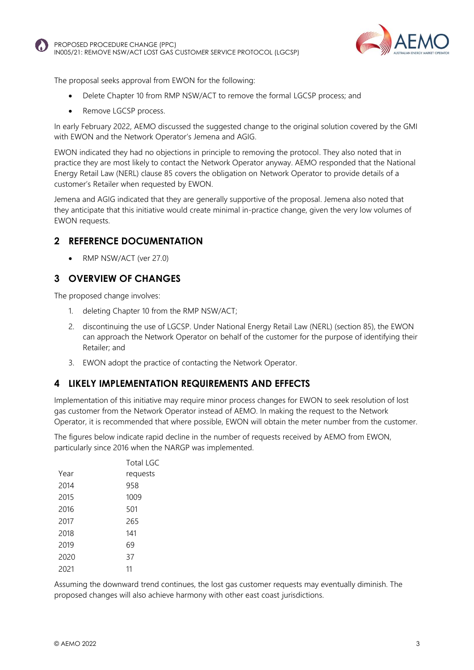



The proposal seeks approval from EWON for the following:

- Delete Chapter 10 from RMP NSW/ACT to remove the formal LGCSP process; and
- Remove LGCSP process.

In early February 2022, AEMO discussed the suggested change to the original solution covered by the GMI with EWON and the Network Operator's Jemena and AGIG.

EWON indicated they had no objections in principle to removing the protocol. They also noted that in practice they are most likely to contact the Network Operator anyway. AEMO responded that the National Energy Retail Law (NERL) clause 85 covers the obligation on Network Operator to provide details of a customer's Retailer when requested by EWON.

Jemena and AGIG indicated that they are generally supportive of the proposal. Jemena also noted that they anticipate that this initiative would create minimal in-practice change, given the very low volumes of EWON requests.

#### **2 REFERENCE DOCUMENTATION**

• RMP NSW/ACT (ver 27.0)

#### **3 OVERVIEW OF CHANGES**

The proposed change involves:

- 1. deleting Chapter 10 from the RMP NSW/ACT;
- 2. discontinuing the use of LGCSP. Under National Energy Retail Law (NERL) (section 85), the EWON can approach the Network Operator on behalf of the customer for the purpose of identifying their Retailer; and
- 3. EWON adopt the practice of contacting the Network Operator.

#### **4 LIKELY IMPLEMENTATION REQUIREMENTS AND EFFECTS**

Implementation of this initiative may require minor process changes for EWON to seek resolution of lost gas customer from the Network Operator instead of AEMO. In making the request to the Network Operator, it is recommended that where possible, EWON will obtain the meter number from the customer.

The figures below indicate rapid decline in the number of requests received by AEMO from EWON, particularly since 2016 when the NARGP was implemented.

|      | <b>Total LGC</b> |
|------|------------------|
| Year | requests         |
| 2014 | 958              |
| 2015 | 1009             |
| 2016 | 501              |
| 2017 | 265              |
| 2018 | 141              |
| 2019 | 69               |
| 2020 | 37               |
| 2021 | 11               |

Assuming the downward trend continues, the lost gas customer requests may eventually diminish. The proposed changes will also achieve harmony with other east coast jurisdictions.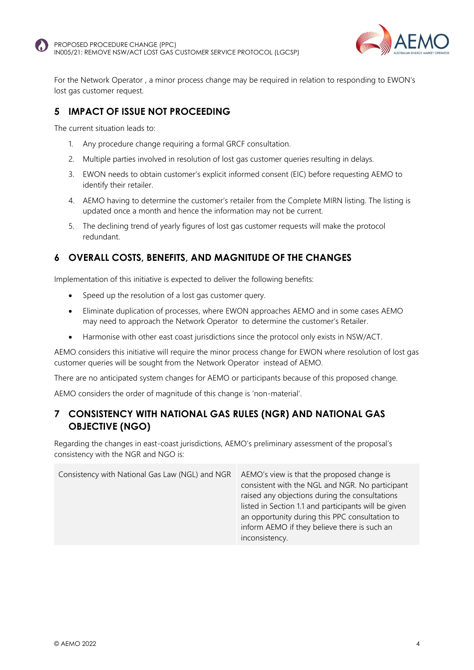



For the Network Operator , a minor process change may be required in relation to responding to EWON's lost gas customer request.

## **5 IMPACT OF ISSUE NOT PROCEEDING**

The current situation leads to:

- 1. Any procedure change requiring a formal GRCF consultation.
- 2. Multiple parties involved in resolution of lost gas customer queries resulting in delays.
- 3. EWON needs to obtain customer's explicit informed consent (EIC) before requesting AEMO to identify their retailer.
- 4. AEMO having to determine the customer's retailer from the Complete MIRN listing. The listing is updated once a month and hence the information may not be current.
- 5. The declining trend of yearly figures of lost gas customer requests will make the protocol redundant.

## **6 OVERALL COSTS, BENEFITS, AND MAGNITUDE OF THE CHANGES**

Implementation of this initiative is expected to deliver the following benefits:

- Speed up the resolution of a lost gas customer query.
- Eliminate duplication of processes, where EWON approaches AEMO and in some cases AEMO may need to approach the Network Operator to determine the customer's Retailer.
- Harmonise with other east coast jurisdictions since the protocol only exists in NSW/ACT.

AEMO considers this initiative will require the minor process change for EWON where resolution of lost gas customer queries will be sought from the Network Operator instead of AEMO.

There are no anticipated system changes for AEMO or participants because of this proposed change.

AEMO considers the order of magnitude of this change is 'non-material'.

#### **7 CONSISTENCY WITH NATIONAL GAS RULES (NGR) AND NATIONAL GAS OBJECTIVE (NGO)**

Regarding the changes in east-coast jurisdictions, AEMO's preliminary assessment of the proposal's consistency with the NGR and NGO is:

Consistency with National Gas Law (NGL) and NGR AEMO's view is that the proposed change is consistent with the NGL and NGR. No participant raised any objections during the consultations listed in Section 1.1 and participants will be given an opportunity during this PPC consultation to inform AEMO if they believe there is such an inconsistency.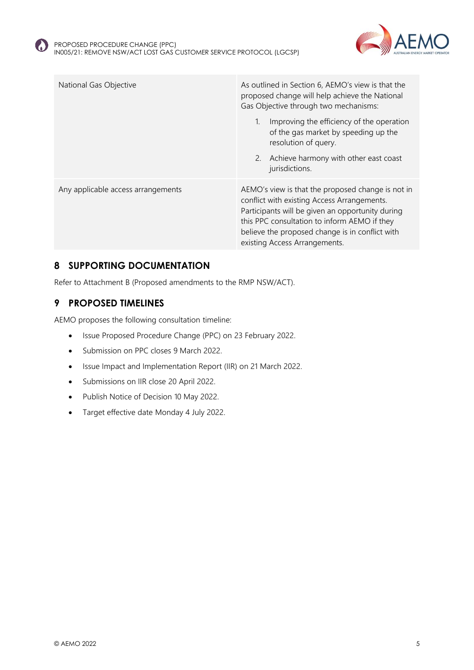

| National Gas Objective             | As outlined in Section 6, AEMO's view is that the<br>proposed change will help achieve the National<br>Gas Objective through two mechanisms:                                                                                                                                             |  |
|------------------------------------|------------------------------------------------------------------------------------------------------------------------------------------------------------------------------------------------------------------------------------------------------------------------------------------|--|
|                                    | Improving the efficiency of the operation<br>of the gas market by speeding up the<br>resolution of query.                                                                                                                                                                                |  |
|                                    | 2. Achieve harmony with other east coast<br>jurisdictions.                                                                                                                                                                                                                               |  |
| Any applicable access arrangements | AEMO's view is that the proposed change is not in<br>conflict with existing Access Arrangements.<br>Participants will be given an opportunity during<br>this PPC consultation to inform AEMO if they<br>believe the proposed change is in conflict with<br>existing Access Arrangements. |  |

#### **8 SUPPORTING DOCUMENTATION**

Refer to Attachment B (Proposed amendments to the RMP NSW/ACT).

## **9 PROPOSED TIMELINES**

AEMO proposes the following consultation timeline:

- Issue Proposed Procedure Change (PPC) on 23 February 2022.
- Submission on PPC closes 9 March 2022.
- Issue Impact and Implementation Report (IIR) on 21 March 2022.
- Submissions on IIR close 20 April 2022.
- Publish Notice of Decision 10 May 2022.
- Target effective date Monday 4 July 2022.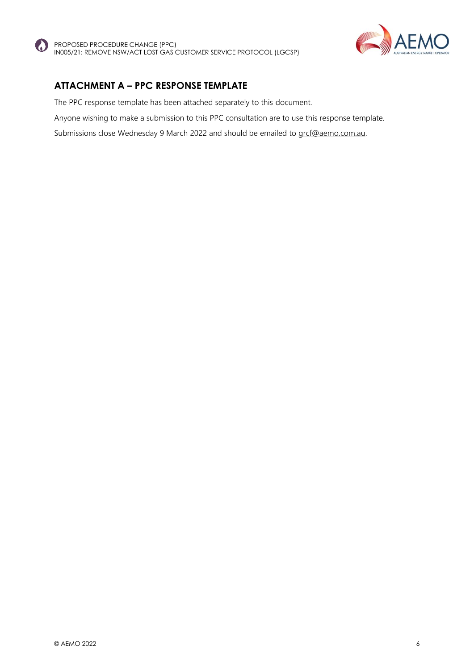



## **ATTACHMENT A – PPC RESPONSE TEMPLATE**

The PPC response template has been attached separately to this document.

Anyone wishing to make a submission to this PPC consultation are to use this response template.

Submissions close Wednesday 9 March 2022 and should be emailed to [grcf@aemo.com.au.](mailto:grcf@aemo.com.au)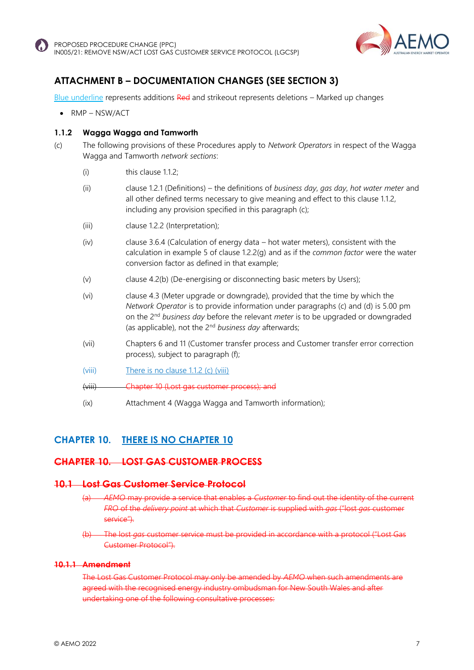



## **ATTACHMENT B – DOCUMENTATION CHANGES (SEE SECTION 3)**

Blue underline represents additions Red and strikeout represents deletions – Marked up changes

• RMP – NSW/ACT

#### **1.1.2 Wagga Wagga and Tamworth**

- (c) The following provisions of these Procedures apply to *Network Operators* in respect of the Wagga Wagga and Tamworth *network sections*:
	- (i) this clause 1.1.2;
	- (ii) clause 1.2.1 (Definitions) the definitions of *business day*, *gas day*, *hot water meter* and all other defined terms necessary to give meaning and effect to this clause 1.1.2, including any provision specified in this paragraph (c);
	- (iii) clause 1.2.2 (Interpretation);
	- (iv) clause 3.6.4 (Calculation of energy data hot water meters), consistent with the calculation in example 5 of clause 1.2.2(g) and as if the *common factor* were the water conversion factor as defined in that example;
	- (v) clause 4.2(b) (De-energising or disconnecting basic meters by Users);
	- (vi) clause 4.3 (Meter upgrade or downgrade), provided that the time by which the *Network Operator* is to provide information under paragraphs (c) and (d) is 5.00 pm on the 2nd *business day* before the relevant *meter* is to be upgraded or downgraded (as applicable), not the 2nd *business day* afterwards;
	- (vii) Chapters 6 and 11 (Customer transfer process and Customer transfer error correction process), subject to paragraph (f);
	- (viii) There is no clause 1.1.2 (c) (viii)

(viii) Chapter 10 (Lost gas customer process); and

(ix) Attachment 4 (Wagga Wagga and Tamworth information);

#### **CHAPTER 10. THERE IS NO CHAPTER 10**

#### **CHAPTER 10. LOST GAS CUSTOMER PROCESS**

#### **10.1 Lost Gas Customer Service Protocol**

- AEMO may provide a service that enables a *Customer* to find out the identity *FRO* of the *delivery point* at which that *Customer* is supplied with *gas* ("lost *gas* customer service").
- (b) The lost *gas* customer service must be provided in accordance with a protocol ("Lost Gas Customer Protocol").

#### **10.1.1 Amendment**

The Lost Gas Customer Protocol may only be amended by *AEMO* when such agreed with the recognised energy industry ombudsman for New South Wales and after undertaking one of the following consultative processes: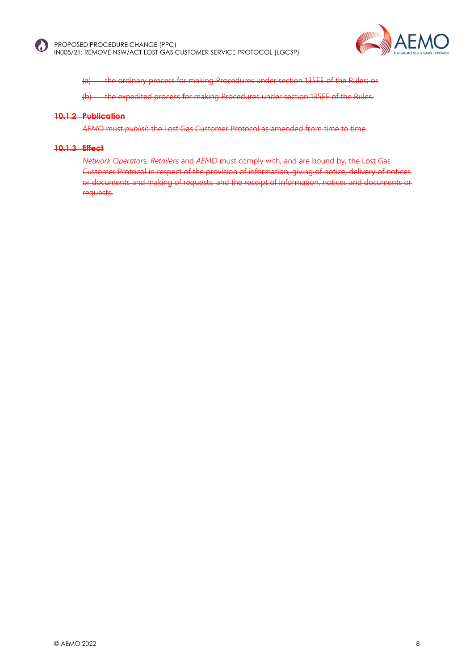



(a) the ordinary process for making Procedures under section 135EE of the Rules; or

(b) the expedited process for making Procedures under section 135EF of the Rules.

#### **10.1.2 Publication**

*AEMO* must *publish* the Lost Gas Customer Protocol as amended from time to time.

#### **10.1.3 Effect**

*Network Operator*s, *Retailers* and *AEMO* must comply with, and are bound by, the Lost Gas Customer Protocol in respect of the provision of information, giving of notice, delivery of notices or documents and making of requests, and the receipt of information, notices and documents or requests.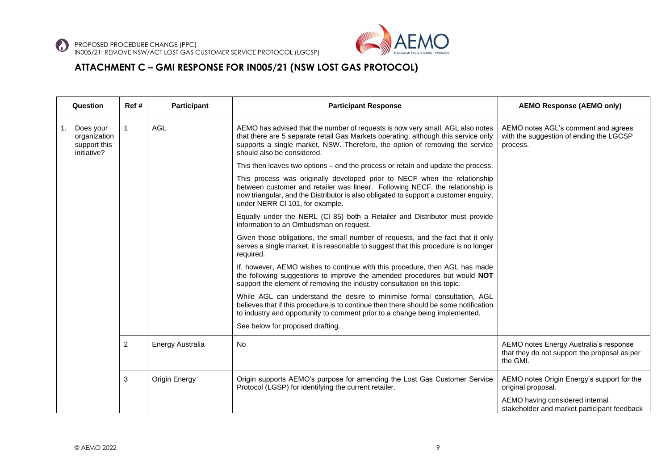

#### **ATTACHMENT C – GMI RESPONSE FOR IN005/21 (NSW LOST GAS PROTOCOL)**

| Question                                                 | Ref # | <b>Participant</b> | <b>Participant Response</b>                                                                                                                                                                                                                                                           | <b>AEMO Response (AEMO only)</b>                                                                   |
|----------------------------------------------------------|-------|--------------------|---------------------------------------------------------------------------------------------------------------------------------------------------------------------------------------------------------------------------------------------------------------------------------------|----------------------------------------------------------------------------------------------------|
| Does your<br>organization<br>support this<br>initiative? |       | <b>AGL</b>         | AEMO has advised that the number of requests is now very small. AGL also notes<br>that there are 5 separate retail Gas Markets operating, although this service only<br>supports a single market, NSW. Therefore, the option of removing the service<br>should also be considered.    | AEMO notes AGL's comment and agrees<br>with the suggestion of ending the LGCSP<br>process.         |
|                                                          |       |                    | This then leaves two options – end the process or retain and update the process.                                                                                                                                                                                                      |                                                                                                    |
|                                                          |       |                    | This process was originally developed prior to NECF when the relationship<br>between customer and retailer was linear. Following NECF, the relationship is<br>now triangular, and the Distributor is also obligated to support a customer enquiry,<br>under NERR CI 101, for example. |                                                                                                    |
|                                                          |       |                    | Equally under the NERL (Cl 85) both a Retailer and Distributor must provide<br>information to an Ombudsman on request.                                                                                                                                                                |                                                                                                    |
|                                                          |       |                    | Given those obligations, the small number of requests, and the fact that it only<br>serves a single market, it is reasonable to suggest that this procedure is no longer<br>required.                                                                                                 |                                                                                                    |
|                                                          |       |                    | If, however, AEMO wishes to continue with this procedure, then AGL has made<br>the following suggestions to improve the amended procedures but would NOT<br>support the element of removing the industry consultation on this topic.                                                  |                                                                                                    |
|                                                          |       |                    | While AGL can understand the desire to minimise formal consultation, AGL<br>believes that if this procedure is to continue then there should be some notification<br>to industry and opportunity to comment prior to a change being implemented.                                      |                                                                                                    |
|                                                          |       |                    | See below for proposed drafting.                                                                                                                                                                                                                                                      |                                                                                                    |
|                                                          | 2     | Energy Australia   | <b>No</b>                                                                                                                                                                                                                                                                             | AEMO notes Energy Australia's response<br>that they do not support the proposal as per<br>the GMI. |
|                                                          | 3     | Origin Energy      | Origin supports AEMO's purpose for amending the Lost Gas Customer Service<br>Protocol (LGSP) for identifying the current retailer.                                                                                                                                                    | AEMO notes Origin Energy's support for the<br>original proposal.                                   |
|                                                          |       |                    |                                                                                                                                                                                                                                                                                       | AEMO having considered internal<br>stakeholder and market participant feedback                     |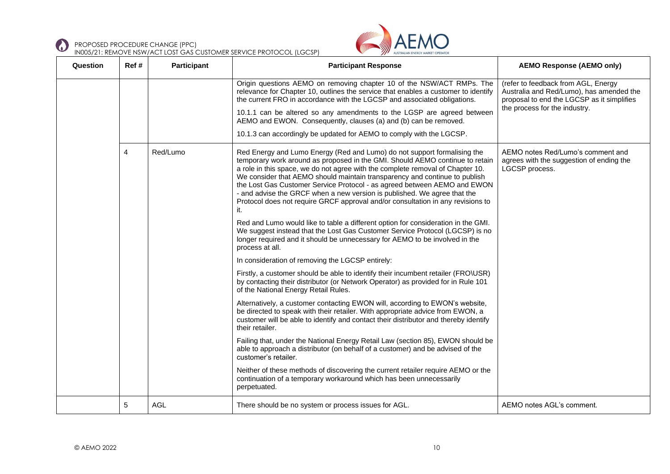



| Question | Ref# | <b>Participant</b> | <b>Participant Response</b>                                                                                                                                                                                                                                                                                                                                                                                                                                                                                                                                                                                                                                                                                                                                                                                                                                                                                                                                                                                                                                                                                             | <b>AEMO Response (AEMO only)</b>                                                                                                                               |
|----------|------|--------------------|-------------------------------------------------------------------------------------------------------------------------------------------------------------------------------------------------------------------------------------------------------------------------------------------------------------------------------------------------------------------------------------------------------------------------------------------------------------------------------------------------------------------------------------------------------------------------------------------------------------------------------------------------------------------------------------------------------------------------------------------------------------------------------------------------------------------------------------------------------------------------------------------------------------------------------------------------------------------------------------------------------------------------------------------------------------------------------------------------------------------------|----------------------------------------------------------------------------------------------------------------------------------------------------------------|
|          |      |                    | Origin questions AEMO on removing chapter 10 of the NSW/ACT RMPs. The<br>relevance for Chapter 10, outlines the service that enables a customer to identify<br>the current FRO in accordance with the LGCSP and associated obligations.<br>10.1.1 can be altered so any amendments to the LGSP are agreed between<br>AEMO and EWON. Consequently, clauses (a) and (b) can be removed.<br>10.1.3 can accordingly be updated for AEMO to comply with the LGCSP.                                                                                                                                                                                                                                                                                                                                                                                                                                                                                                                                                                                                                                                           | (refer to feedback from AGL, Energy<br>Australia and Red/Lumo), has amended the<br>proposal to end the LGCSP as it simplifies<br>the process for the industry. |
|          | 4    | Red/Lumo           | Red Energy and Lumo Energy (Red and Lumo) do not support formalising the<br>temporary work around as proposed in the GMI. Should AEMO continue to retain<br>a role in this space, we do not agree with the complete removal of Chapter 10.<br>We consider that AEMO should maintain transparency and continue to publish<br>the Lost Gas Customer Service Protocol - as agreed between AEMO and EWON<br>- and advise the GRCF when a new version is published. We agree that the<br>Protocol does not require GRCF approval and/or consultation in any revisions to<br>it.<br>Red and Lumo would like to table a different option for consideration in the GMI.<br>We suggest instead that the Lost Gas Customer Service Protocol (LGCSP) is no<br>longer required and it should be unnecessary for AEMO to be involved in the<br>process at all.<br>In consideration of removing the LGCSP entirely:<br>Firstly, a customer should be able to identify their incumbent retailer (FRO\USR)<br>by contacting their distributor (or Network Operator) as provided for in Rule 101<br>of the National Energy Retail Rules. | AEMO notes Red/Lumo's comment and<br>agrees with the suggestion of ending the<br>LGCSP process.                                                                |
|          |      |                    | Alternatively, a customer contacting EWON will, according to EWON's website,<br>be directed to speak with their retailer. With appropriate advice from EWON, a<br>customer will be able to identify and contact their distributor and thereby identify<br>their retailer.                                                                                                                                                                                                                                                                                                                                                                                                                                                                                                                                                                                                                                                                                                                                                                                                                                               |                                                                                                                                                                |
|          |      |                    | Failing that, under the National Energy Retail Law (section 85), EWON should be<br>able to approach a distributor (on behalf of a customer) and be advised of the<br>customer's retailer.                                                                                                                                                                                                                                                                                                                                                                                                                                                                                                                                                                                                                                                                                                                                                                                                                                                                                                                               |                                                                                                                                                                |
|          |      |                    | Neither of these methods of discovering the current retailer require AEMO or the<br>continuation of a temporary workaround which has been unnecessarily<br>perpetuated.                                                                                                                                                                                                                                                                                                                                                                                                                                                                                                                                                                                                                                                                                                                                                                                                                                                                                                                                                 |                                                                                                                                                                |
|          | 5    | <b>AGL</b>         | There should be no system or process issues for AGL.                                                                                                                                                                                                                                                                                                                                                                                                                                                                                                                                                                                                                                                                                                                                                                                                                                                                                                                                                                                                                                                                    | AEMO notes AGL's comment.                                                                                                                                      |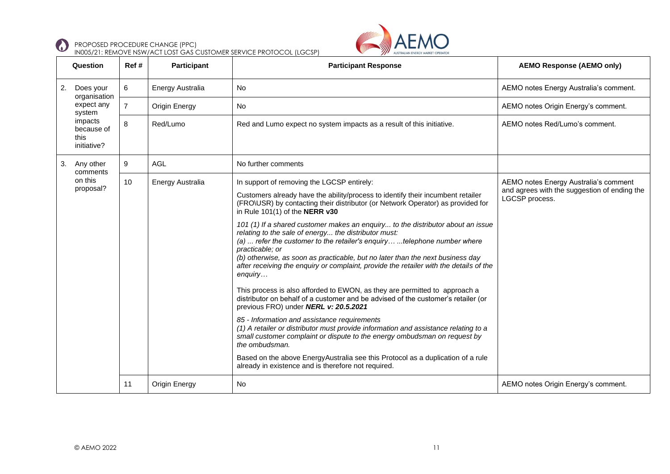



|    | Question                                     | Ref#           | <b>Participant</b>      | <b>Participant Response</b>                                                                                                                                                                                                                                                                                                                                                                                                                                                                                                                                                                                                                                                                                                                                                                                                                                                                                                                                                                                                                                                                                                                                                                                                                                                         | <b>AEMO Response (AEMO only)</b>                                                                        |
|----|----------------------------------------------|----------------|-------------------------|-------------------------------------------------------------------------------------------------------------------------------------------------------------------------------------------------------------------------------------------------------------------------------------------------------------------------------------------------------------------------------------------------------------------------------------------------------------------------------------------------------------------------------------------------------------------------------------------------------------------------------------------------------------------------------------------------------------------------------------------------------------------------------------------------------------------------------------------------------------------------------------------------------------------------------------------------------------------------------------------------------------------------------------------------------------------------------------------------------------------------------------------------------------------------------------------------------------------------------------------------------------------------------------|---------------------------------------------------------------------------------------------------------|
| 2. | Does your<br>organisation                    | 6              | Energy Australia        | <b>No</b>                                                                                                                                                                                                                                                                                                                                                                                                                                                                                                                                                                                                                                                                                                                                                                                                                                                                                                                                                                                                                                                                                                                                                                                                                                                                           | AEMO notes Energy Australia's comment.                                                                  |
|    | expect any<br>system                         | $\overline{7}$ | Origin Energy           | <b>No</b>                                                                                                                                                                                                                                                                                                                                                                                                                                                                                                                                                                                                                                                                                                                                                                                                                                                                                                                                                                                                                                                                                                                                                                                                                                                                           | AEMO notes Origin Energy's comment.                                                                     |
|    | impacts<br>because of<br>this<br>initiative? | 8              | Red/Lumo                | Red and Lumo expect no system impacts as a result of this initiative.                                                                                                                                                                                                                                                                                                                                                                                                                                                                                                                                                                                                                                                                                                                                                                                                                                                                                                                                                                                                                                                                                                                                                                                                               | AEMO notes Red/Lumo's comment.                                                                          |
| 3. | Any other<br>comments                        | 9              | <b>AGL</b>              | No further comments                                                                                                                                                                                                                                                                                                                                                                                                                                                                                                                                                                                                                                                                                                                                                                                                                                                                                                                                                                                                                                                                                                                                                                                                                                                                 |                                                                                                         |
|    | on this<br>proposal?                         | 10             | <b>Energy Australia</b> | In support of removing the LGCSP entirely:<br>Customers already have the ability/process to identify their incumbent retailer<br>(FRO\USR) by contacting their distributor (or Network Operator) as provided for<br>in Rule $101(1)$ of the NERR $v30$<br>101 (1) If a shared customer makes an enquiry to the distributor about an issue<br>relating to the sale of energy the distributor must:<br>(a)  refer the customer to the retailer's enquiry telephone number where<br>practicable; or<br>(b) otherwise, as soon as practicable, but no later than the next business day<br>after receiving the enquiry or complaint, provide the retailer with the details of the<br>enquiry<br>This process is also afforded to EWON, as they are permitted to approach a<br>distributor on behalf of a customer and be advised of the customer's retailer (or<br>previous FRO) under NERL v: 20.5.2021<br>85 - Information and assistance requirements<br>(1) A retailer or distributor must provide information and assistance relating to a<br>small customer complaint or dispute to the energy ombudsman on request by<br>the ombudsman.<br>Based on the above EnergyAustralia see this Protocol as a duplication of a rule<br>already in existence and is therefore not required. | AEMO notes Energy Australia's comment<br>and agrees with the suggestion of ending the<br>LGCSP process. |
|    |                                              | 11             | Origin Energy           | <b>No</b>                                                                                                                                                                                                                                                                                                                                                                                                                                                                                                                                                                                                                                                                                                                                                                                                                                                                                                                                                                                                                                                                                                                                                                                                                                                                           | AEMO notes Origin Energy's comment.                                                                     |